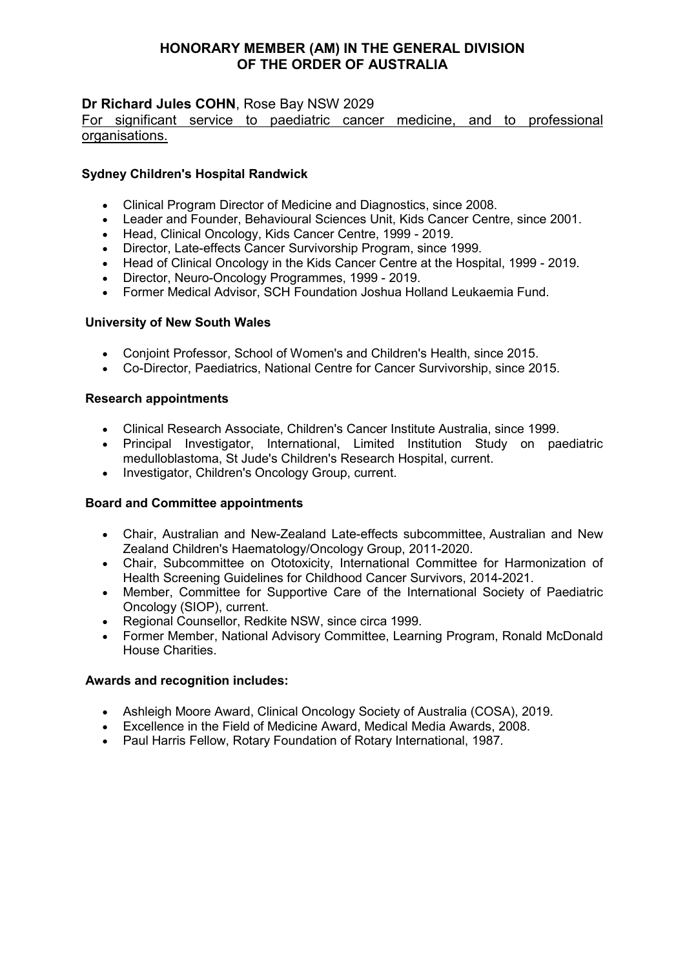# **Dr Richard Jules COHN**, Rose Bay NSW 2029

### For significant service to paediatric cancer medicine, and to professional organisations.

## **Sydney Children's Hospital Randwick**

- Clinical Program Director of Medicine and Diagnostics, since 2008.
- Leader and Founder, Behavioural Sciences Unit, Kids Cancer Centre, since 2001.
- Head, Clinical Oncology, Kids Cancer Centre, 1999 2019.
- Director, Late-effects Cancer Survivorship Program, since 1999.
- Head of Clinical Oncology in the Kids Cancer Centre at the Hospital, 1999 2019.
- Director, Neuro-Oncology Programmes, 1999 2019.
- Former Medical Advisor, SCH Foundation Joshua Holland Leukaemia Fund.

### **University of New South Wales**

- Conjoint Professor, School of Women's and Children's Health, since 2015.
- Co-Director, Paediatrics, National Centre for Cancer Survivorship, since 2015.

### **Research appointments**

- Clinical Research Associate, Children's Cancer Institute Australia, since 1999.
- Principal Investigator, International, Limited Institution Study on paediatric medulloblastoma, St Jude's Children's Research Hospital, current.
- Investigator, Children's Oncology Group, current.

### **Board and Committee appointments**

- Chair, Australian and New-Zealand Late-effects subcommittee, Australian and New Zealand Children's Haematology/Oncology Group, 2011-2020.
- Chair, Subcommittee on Ototoxicity, International Committee for Harmonization of Health Screening Guidelines for Childhood Cancer Survivors, 2014-2021.
- Member, Committee for Supportive Care of the International Society of Paediatric Oncology (SIOP), current.
- Regional Counsellor, Redkite NSW, since circa 1999.
- Former Member, National Advisory Committee, Learning Program, Ronald McDonald House Charities.

## **Awards and recognition includes:**

- Ashleigh Moore Award, Clinical Oncology Society of Australia (COSA), 2019.
- Excellence in the Field of Medicine Award, Medical Media Awards, 2008.
- Paul Harris Fellow, Rotary Foundation of Rotary International, 1987.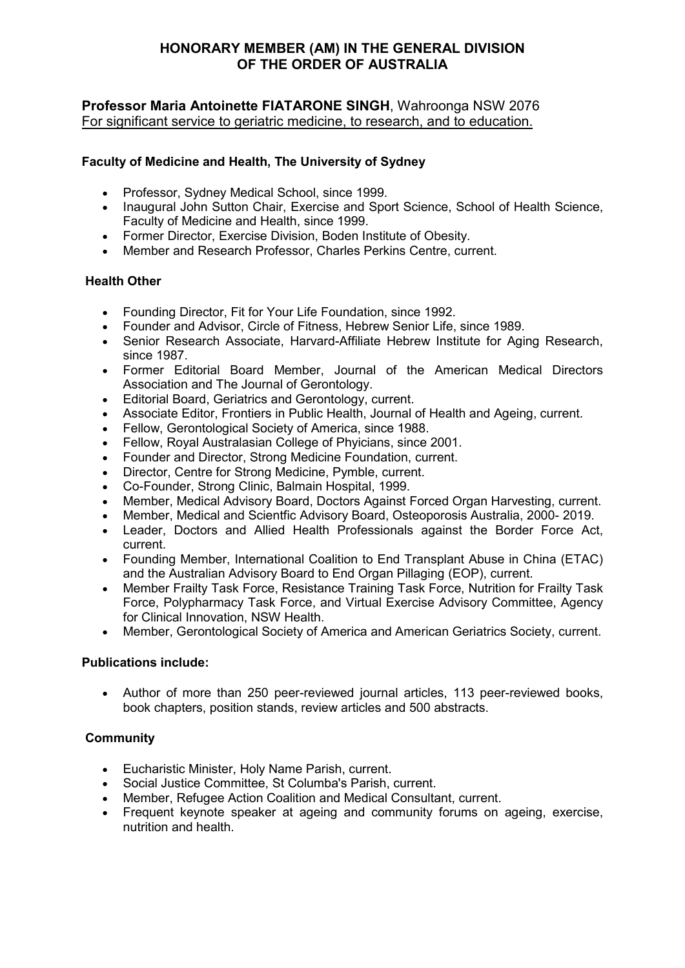## **Professor Maria Antoinette FIATARONE SINGH**, Wahroonga NSW 2076 For significant service to geriatric medicine, to research, and to education.

# **Faculty of Medicine and Health, The University of Sydney**

- Professor, Sydney Medical School, since 1999.
- Inaugural John Sutton Chair, Exercise and Sport Science, School of Health Science, Faculty of Medicine and Health, since 1999.
- Former Director, Exercise Division, Boden Institute of Obesity.
- Member and Research Professor, Charles Perkins Centre, current.

## **Health Other**

- Founding Director, Fit for Your Life Foundation, since 1992.
- Founder and Advisor, Circle of Fitness, Hebrew Senior Life, since 1989.
- Senior Research Associate, Harvard-Affiliate Hebrew Institute for Aging Research, since 1987.
- Former Editorial Board Member, Journal of the American Medical Directors Association and The Journal of Gerontology.
- Editorial Board, Geriatrics and Gerontology, current.
- Associate Editor, Frontiers in Public Health, Journal of Health and Ageing, current.
- Fellow, Gerontological Society of America, since 1988.
- Fellow, Royal Australasian College of Phyicians, since 2001.
- Founder and Director, Strong Medicine Foundation, current.
- Director, Centre for Strong Medicine, Pymble, current.
- Co-Founder, Strong Clinic, Balmain Hospital, 1999.
- Member, Medical Advisory Board, Doctors Against Forced Organ Harvesting, current.
- Member, Medical and Scientfic Advisory Board, Osteoporosis Australia, 2000- 2019.
- Leader, Doctors and Allied Health Professionals against the Border Force Act, current.
- Founding Member, International Coalition to End Transplant Abuse in China (ETAC) and the Australian Advisory Board to End Organ Pillaging (EOP), current.
- Member Frailty Task Force, Resistance Training Task Force, Nutrition for Frailty Task Force, Polypharmacy Task Force, and Virtual Exercise Advisory Committee, Agency for Clinical Innovation, NSW Health.
- Member, Gerontological Society of America and American Geriatrics Society, current.

### **Publications include:**

• Author of more than 250 peer-reviewed journal articles, 113 peer-reviewed books, book chapters, position stands, review articles and 500 abstracts.

## **Community**

- Eucharistic Minister, Holy Name Parish, current.
- Social Justice Committee, St Columba's Parish, current.
- Member, Refugee Action Coalition and Medical Consultant, current.
- Frequent keynote speaker at ageing and community forums on ageing, exercise, nutrition and health.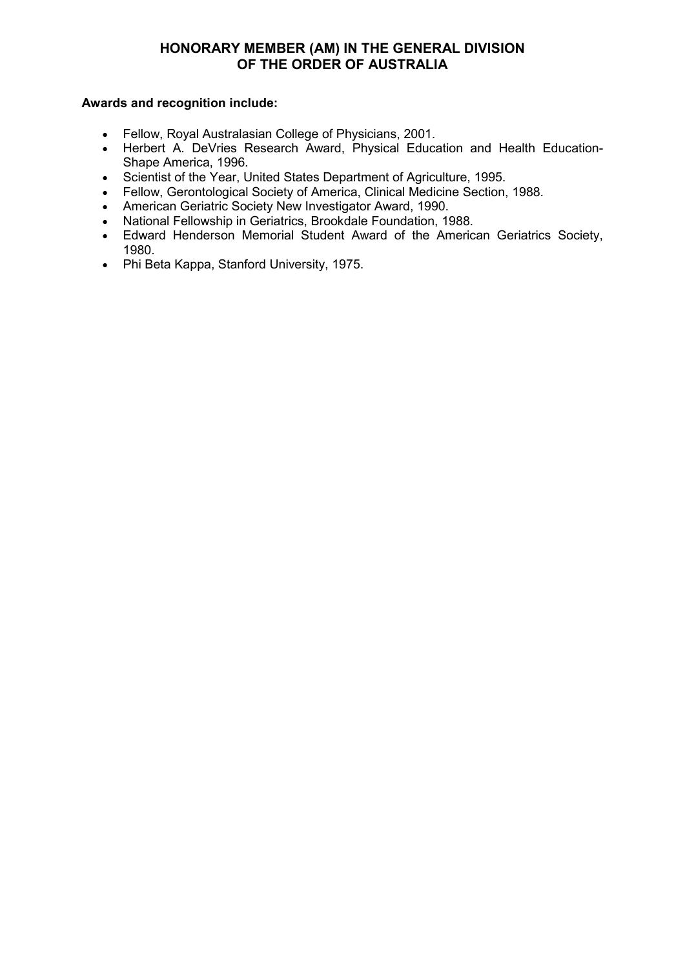### **Awards and recognition include:**

- Fellow, Royal Australasian College of Physicians, 2001.
- Herbert A. DeVries Research Award, Physical Education and Health Education-Shape America, 1996.
- Scientist of the Year, United States Department of Agriculture, 1995.
- Fellow, Gerontological Society of America, Clinical Medicine Section, 1988.
- American Geriatric Society New Investigator Award, 1990.
- National Fellowship in Geriatrics, Brookdale Foundation, 1988.
- Edward Henderson Memorial Student Award of the American Geriatrics Society, 1980.
- Phi Beta Kappa, Stanford University, 1975.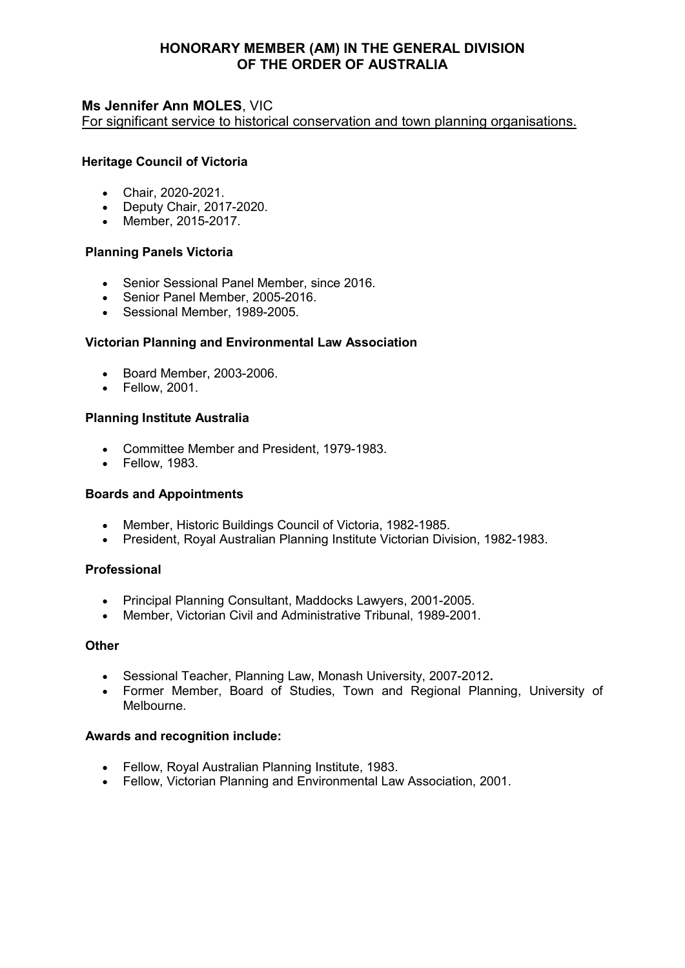## **Ms Jennifer Ann MOLES**, VIC

For significant service to historical conservation and town planning organisations.

## **Heritage Council of Victoria**

- Chair, 2020-2021.
- Deputy Chair, 2017-2020.
- Member, 2015-2017.

### **Planning Panels Victoria**

- Senior Sessional Panel Member, since 2016.
- Senior Panel Member, 2005-2016.
- Sessional Member, 1989-2005.

## **Victorian Planning and Environmental Law Association**

- Board Member, 2003-2006.
- Fellow, 2001.

## **Planning Institute Australia**

- Committee Member and President, 1979-1983.
- Fellow, 1983.

### **Boards and Appointments**

- Member, Historic Buildings Council of Victoria, 1982-1985.
- President, Royal Australian Planning Institute Victorian Division, 1982-1983.

### **Professional**

- Principal Planning Consultant, Maddocks Lawyers, 2001-2005.
- Member, Victorian Civil and Administrative Tribunal, 1989-2001.

### **Other**

- Sessional Teacher, Planning Law, Monash University, 2007-2012**.**
- Former Member, Board of Studies, Town and Regional Planning, University of Melbourne.

### **Awards and recognition include:**

- Fellow, Royal Australian Planning Institute, 1983.
- Fellow, Victorian Planning and Environmental Law Association, 2001.